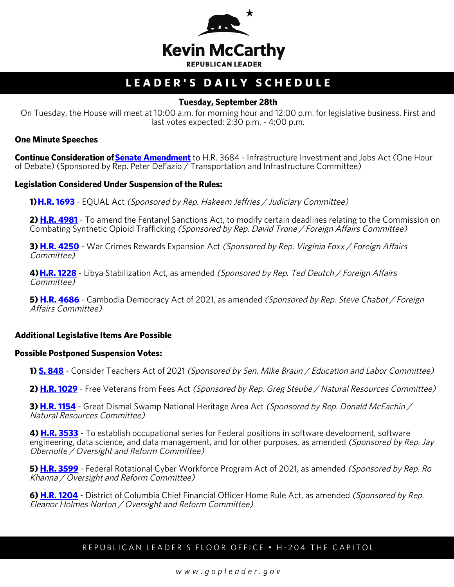

# **LEADER'S DAILY SCHEDULE**

## **Tuesday, September 28th**

On Tuesday, the House will meet at 10:00 a.m. for morning hour and 12:00 p.m. for legislative business. First and last votes expected: 2:30 p.m. - 4:00 p.m.

#### **One Minute Speeches**

**Continue Consideration of [Senate Amendment](https://urldefense.com/v3/__https:/house.us19.list-manage.com/track/click?u=e7c7dd67b1306044019cbb94d&id=144b7821e6&e=83c8ffea47__;!!Bg5easoyC-OII2vlEqY8mTBrtW-N4OJKAQ!d9W4gWAeOw2Eq9-gcV3KA4rF971mq5G7yIjuPUM2mJyeIJgihm8MW_IUc9y9AD8ySyv-c5Ruug$)** to H.R. 3684 - Infrastructure Investment and Jobs Act (One Hour of Debate) (Sponsored by Rep. Peter DeFazio / Transportation and Infrastructure Committee)

#### **Legislation Considered Under Suspension of the Rules:**

**1) [H.R. 1693](http://docs.house.gov/billsthisweek/20210927/BILLS-117hr1693-SUSv1.pdf)** - EQUAL Act (Sponsored by Rep. Hakeem Jeffries / Judiciary Committee)

**2) [H.R. 4981](http://docs.house.gov/billsthisweek/20210927/BILLS-117hr4981-SUS.pdf)** - To amend the Fentanyl Sanctions Act, to modify certain deadlines relating to the Commission on Combating Synthetic Opioid Trafficking (Sponsored by Rep. David Trone / Foreign Affairs Committee)

**3) [H.R. 4250](http://docs.house.gov/billsthisweek/20210927/BILLS-117hr4250-SUS.pdf)** - War Crimes Rewards Expansion Act (Sponsored by Rep. Virginia Foxx / Foreign Affairs Committee)

**4) [H.R. 1228](http://docs.house.gov/billsthisweek/20210927/BILLS-117hr1228-SUSv1.pdf)** - Libya Stabilization Act, as amended (Sponsored by Rep. Ted Deutch / Foreign Affairs Committee)

**5) [H.R. 4686](http://docs.house.gov/billsthisweek/20210927/BILLS-117hr4686-SUS.pdf)** - Cambodia Democracy Act of 2021, as amended (Sponsored by Rep. Steve Chabot / Foreign Affairs Committee)

### **Additional Legislative Items Are Possible**

#### **Possible Postponed Suspension Votes:**

**1) [S. 848](https://urldefense.com/v3/__https:/house.us19.list-manage.com/track/click?u=e7c7dd67b1306044019cbb94d&id=b988e6c2ea&e=83c8ffea47__;!!Bg5easoyC-OII2vlEqY8mTBrtW-N4OJKAQ!d9W4gWAeOw2Eq9-gcV3KA4rF971mq5G7yIjuPUM2mJyeIJgihm8MW_IUc9y9AD8ySys9zYbVHA$)** - Consider Teachers Act of 2021 (Sponsored by Sen. Mike Braun / Education and Labor Committee)

**2) [H.R. 1029](https://urldefense.com/v3/__https:/house.us19.list-manage.com/track/click?u=e7c7dd67b1306044019cbb94d&id=2644f65725&e=83c8ffea47__;!!Bg5easoyC-OII2vlEqY8mTBrtW-N4OJKAQ!d9W4gWAeOw2Eq9-gcV3KA4rF971mq5G7yIjuPUM2mJyeIJgihm8MW_IUc9y9AD8ySyuqC2oqog$)** - Free Veterans from Fees Act (Sponsored by Rep. Greg Steube / Natural Resources Committee)

**3) <u>[H.R. 1154](https://urldefense.com/v3/__https:/house.us19.list-manage.com/track/click?u=e7c7dd67b1306044019cbb94d&id=8ca8c6ab18&e=83c8ffea47__;!!Bg5easoyC-OII2vlEqY8mTBrtW-N4OJKAQ!d9W4gWAeOw2Eq9-gcV3KA4rF971mq5G7yIjuPUM2mJyeIJgihm8MW_IUc9y9AD8ySys2yYXZ2w$)</u>** - Great Dismal Swamp National Heritage Area Act *(Sponsored by Rep. Donald McEachin /* Natural Resources Committee)

**4) [H.R. 3533](https://urldefense.com/v3/__https:/house.us19.list-manage.com/track/click?u=e7c7dd67b1306044019cbb94d&id=fe9f46a476&e=83c8ffea47__;!!Bg5easoyC-OII2vlEqY8mTBrtW-N4OJKAQ!d9W4gWAeOw2Eq9-gcV3KA4rF971mq5G7yIjuPUM2mJyeIJgihm8MW_IUc9y9AD8ySysajc2Giw$)** - To establish occupational series for Federal positions in software development, software engineering, data science, and data management, and for other purposes, as amended *(Sponsored by Rep. Jay* Obernolte / Oversight and Reform Committee)

**5) [H.R. 3599](https://urldefense.com/v3/__https:/house.us19.list-manage.com/track/click?u=e7c7dd67b1306044019cbb94d&id=96b9c17a12&e=83c8ffea47__;!!Bg5easoyC-OII2vlEqY8mTBrtW-N4OJKAQ!d9W4gWAeOw2Eq9-gcV3KA4rF971mq5G7yIjuPUM2mJyeIJgihm8MW_IUc9y9AD8ySyt6lkPJig$)** - Federal Rotational Cyber Workforce Program Act of 2021, as amended (Sponsored by Rep. Ro Khanna / Oversight and Reform Committee)

**6) [H.R. 1204](https://urldefense.com/v3/__https:/house.us19.list-manage.com/track/click?u=e7c7dd67b1306044019cbb94d&id=1fbbbc7d7a&e=83c8ffea47__;!!Bg5easoyC-OII2vlEqY8mTBrtW-N4OJKAQ!d9W4gWAeOw2Eq9-gcV3KA4rF971mq5G7yIjuPUM2mJyeIJgihm8MW_IUc9y9AD8ySytZAMkxRw$)** - District of Columbia Chief Financial Officer Home Rule Act, as amended (Sponsored by Rep. Eleanor Holmes Norton / Oversight and Reform Committee)

### REPUBLICAN LEADER'S FLOOR OFFICE • H-204 THE CAPITOL

*www.gopleader.gov*